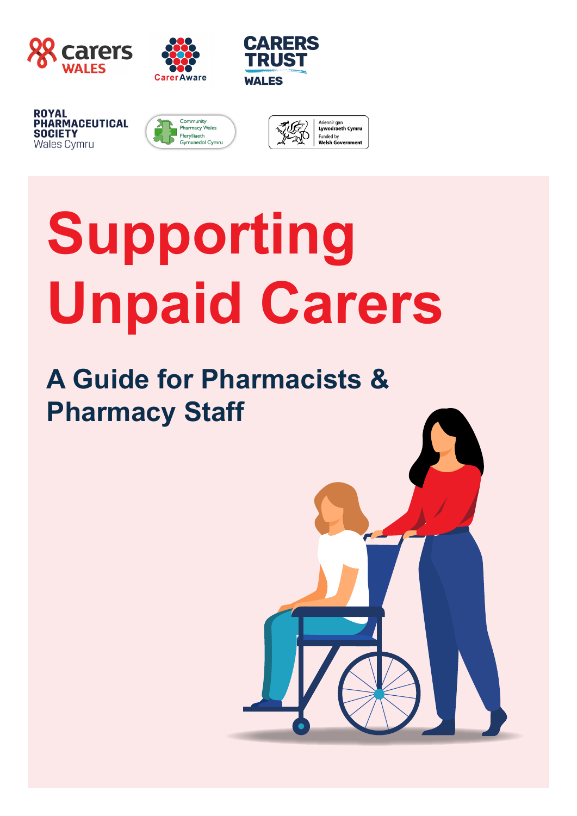





**ROYAL** PHARMACEUTICAL **SOCIETY Wales Cymru** 





# **Supporting Unpaid Carers**

# **A Guide for Pharmacists & Pharmacy Staff**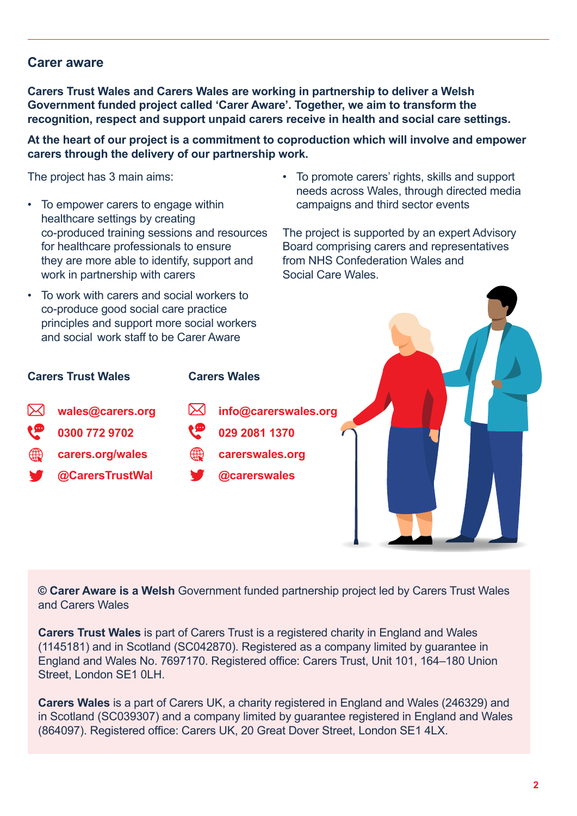### **aware Carer**

**Carers Trust Wales and Carers Wales are working in partnership to deliver a Welsh Government funded project called 'Carer Aware'. Together, we aim to transform the** recognition, respect and support unpaid carers receive in health and social care settings.

#### At the heart of our project is a commitment to coproduction which will involve and empower carers through the delivery of our partnership work.

The project has 3 main aims:

- To empower carers to engage within healthcare settings by creating co-produced training sessions and resources for healthcare professionals to ensure they are more able to identify, support and work in partnership with carers
- To work with carers and social workers to co-produce good social care practice principles and support more social workers and social work staff to be Carer Aware
- To promote carers' rights, skills and support needs across Wales, through directed media campaigns and third sector events

The project is supported by an expert Advisory Board comprising carers and representatives from NHS Confederation Wales and Social Care Wales





© Carer Aware is a Welsh Government funded partnership project led by Carers Trust Wales and Carers Wales

**Carers Trust Wales** is part of Carers Trust is a registered charity in England and Wales  $(1145181)$  and in Scotland (SC042870). Registered as a company limited by quarantee in England and Wales No. 7697170. Registered office: Carers Trust. Unit 101, 164-180 Union Street. London SE1 0LH.

**Carers Wales** is a part of Carers UK, a charity registered in England and Wales (246329) and in Scotland (SC039307) and a company limited by quarantee registered in England and Wales (864097). Registered office: Carers UK, 20 Great Dover Street, London SE1 4LX.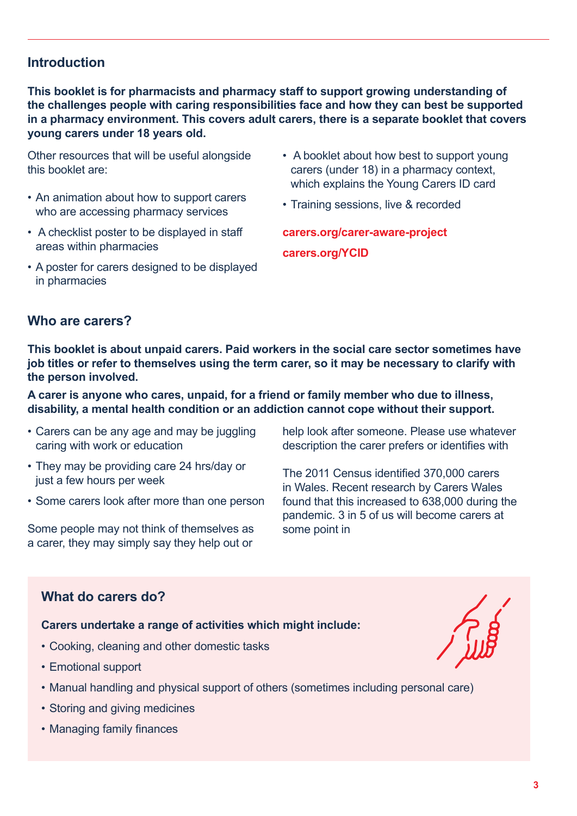# **Introduction**

This booklet is for pharmacists and pharmacy staff to support growing understanding of the challenges people with caring responsibilities face and how they can best be supported in a pharmacy environment. This covers adult carers, there is a separate booklet that covers voung carers under 18 years old.

Other resources that will be useful alongside this booklet are:

- An animation about how to support carers who are accessing pharmacy services
- A checklist poster to be displayed in staff areas within pharmacies
- A poster for carers designed to be displayed in pharmacies
- A booklet about how best to support young carers (under 18) in a pharmacy context, which explains the Young Carers ID card
- Training sessions, live & recorded

carers.org/carer-aware-project

carers.org/YCID

## **Who are carers?**

This booklet is about unpaid carers. Paid workers in the social care sector sometimes have job titles or refer to themselves using the term carer, so it may be necessary to clarify with the person involved.

A carer is anyone who cares, unpaid, for a friend or family member who due to illness, disability, a mental health condition or an addiction cannot cope without their support,

- Carers can be any age and may be juggling caring with work or education
- They may be providing care 24 hrs/day or just a few hours per week
- Some carers look after more than one person

Some people may not think of themselves as a carer, they may simply say they help out or

help look after someone. Please use whatever description the carer prefers or identifies with

The 2011 Census identified 370,000 carers in Wales. Recent research by Carers Wales found that this increased to 638,000 during the pandemic. 3 in 5 of us will become carers at some point in

# **What do carers do?**

#### Carers undertake a range of activities which might include:

- Cooking, cleaning and other domestic tasks
- Emotional support
- Manual handling and physical support of others (sometimes including personal care)
- Storing and giving medicines
- Managing family finances

Fug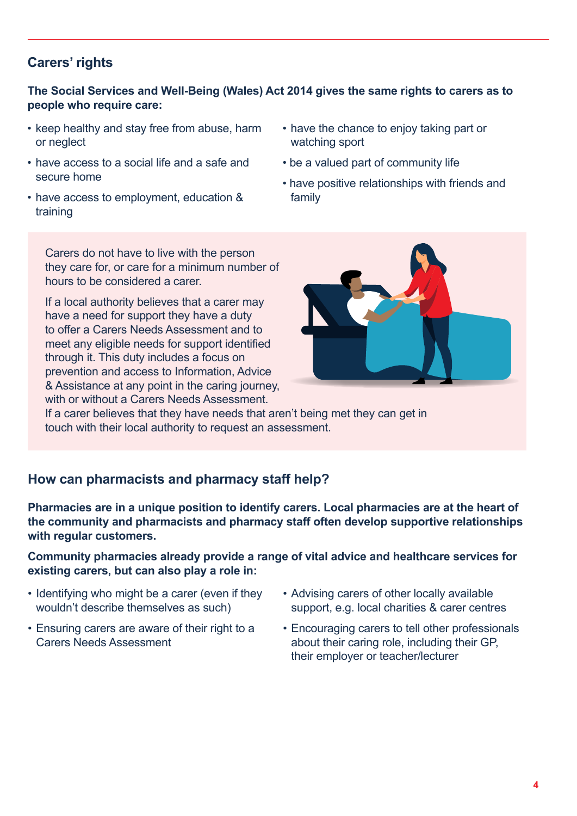# **rights' Carers**

### The Social Services and Well-Being (Wales) Act 2014 gives the same rights to carers as to people who require care:

- keep healthy and stay free from abuse, harm or neglect
- have access to a social life and a safe and secure home
- have access to employment, education & training
- have the chance to enjoy taking part or watching sport
- be a valued part of community life
- have positive relationships with friends and family

Carers do not have to live with the person they care for, or care for a minimum number of hours to be considered a carer

If a local authority believes that a carer may have a need for support they have a duty to offer a Carers Needs Assessment and to meet any eligible needs for support identified through it. This duty includes a focus on prevention and access to Information, Advice & Assistance at any point in the caring journey, with or without a Carers Needs Assessment.



If a carer believes that they have needs that aren't being met they can get in touch with their local authority to request an assessment.

# How can pharmacists and pharmacy staff help?

Pharmacies are in a unique position to identify carers. Local pharmacies are at the heart of the community and pharmacists and pharmacy staff often develop supportive relationships with regular customers.

#### **Community pharmacies already provide a range of vital advice and healthcare services for existing carers, but can also play a role in:**

- Identifying who might be a carer (even if they wouldn't describe themselves as such)
- Ensuring carers are aware of their right to a Carers Needs Assessment
- Advising carers of other locally available support, e.g. local charities & carer centres
- Encouraging carers to tell other professionals about their caring role, including their GP. their employer or teacher/lecturer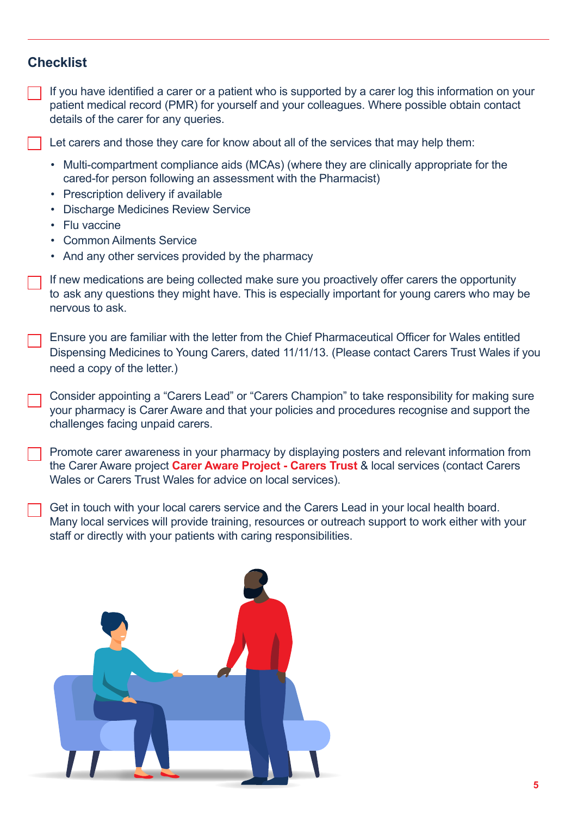# **Checklist**

If you have identified a carer or a patient who is supported by a carer log this information on your patient medical record (PMR) for vourself and your colleagues. Where possible obtain contact details of the carer for any queries.

Let carers and those they care for know about all of the services that may help them:

- Multi-compartment compliance aids (MCAs) (where they are clinically appropriate for the cared-for person following an assessment with the Pharmacist)
- Prescription delivery if available
- Discharge Medicines Review Service
- Flu vaccine
- Common Ailments Service
- And any other services provided by the pharmacy

If new medications are being collected make sure you proactively offer carers the opportunity to ask any questions they might have. This is especially important for young carers who may be nervous to ask

Ensure you are familiar with the letter from the Chief Pharmaceutical Officer for Wales entitled Dispensing Medicines to Young Carers, dated 11/11/13. (Please contact Carers Trust Wales if you (ed a copy of the letter.)

Consider appointing a "Carers Lead" or "Carers Champion" to take responsibility for making sure your pharmacy is Carer Aware and that your policies and procedures recognise and support the challenges facing unpaid carers.

From te care awareness in your pharmacy by displaying posters and relevant information from the Carer Aware project Carer Aware Project - Carers Trust & local services (contact Carers Wales or Carers Trust Wales for advice on local services).

. Get in touch with your local carers service and the Carers Lead in your local health board. Many local services will provide training, resources or outreach support to work either with your staff or directly with your patients with caring responsibilities.

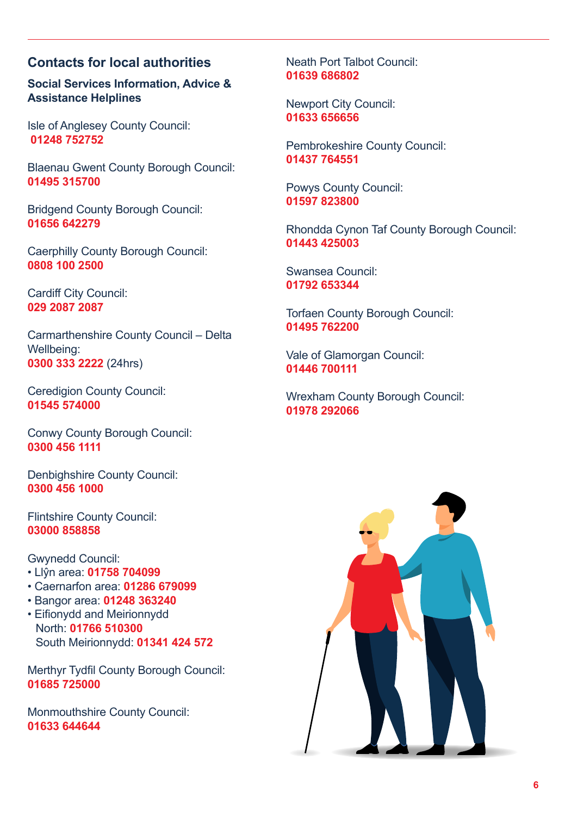# **Contacts for local authorities**

**Social Services Information, Advice & Assistance Helplines** 

Isle of Anglesey County Council: **752752 01248** 

Blaenau Gwent County Borough Council: **315700 01495**

Bridgend County Borough Council: **642279 01656**

Caerphilly County Borough Council: **2500 100 0808**

Cardiff City Council: **2087 2087 029**

Carmarthenshire County Council - Delta Wellbeing: **0300 333 2222** (24hrs)

Ceredigion County Council: **574000 01545**

Conwy County Borough Council: **1111 456 0300**

Denbighshire County Council: **1000 456 0300**

Flintshire County Council: **858858 03000**

Gwynedd Council:

- **Llŷn area: 01758 704099**
- **Caernarfon area: 01286 679099**
- **Bangor area: 01248 363240**
- Eifionydd and Meirionnydd North: 01766 510300 South Meirionnydd: 01341 424 572

Merthyr Tydfil County Borough Council: **725000 01685**

Monmouthshire County Council: **644644 01633**

Neath Port Talbot Council: **686802 01639**

Newport City Council: **656656 01633**

Pembrokeshire County Council: **764551 01437**

Powys County Council: **823800 01597**

Rhondda Cynon Taf County Borough Council: **425003 01443**

Swansea Council: **653344 01792**

Torfaen County Borough Council: **762200 01495**

Vale of Glamorgan Council: **700111 01446**

Wrexham County Borough Council: **292066 01978**

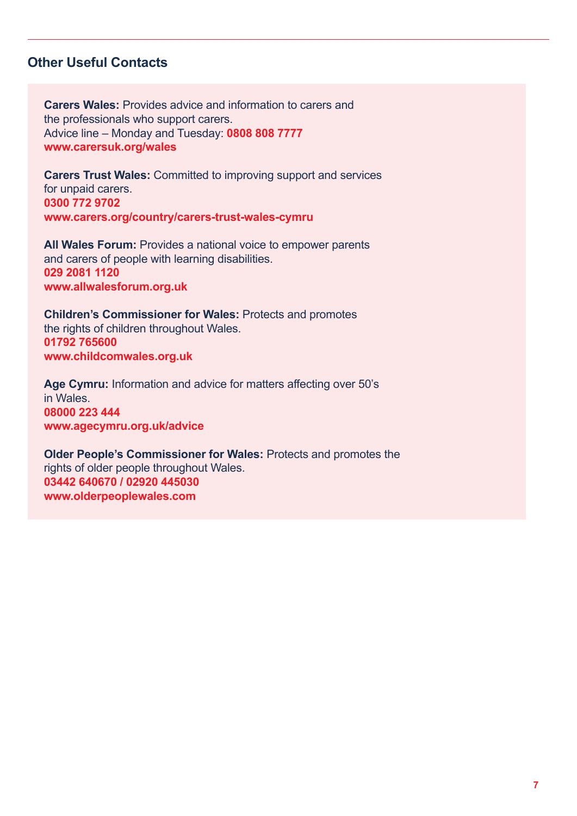# **Contacts**

**Carers Wales: Provides advice and information to carers and Carers** the professionals who support carers. Advice line - Monday and Tuesday: 0808 808 7777 www.carersuk.org/wales

**Carers Trust Wales: Committed to improving support and services** for unpaid carers. **9702 772 0300** www.carers.org/country/carers-trust-wales-cymru

All Wales Forum: Provides a national voice to empower parents and carers of people with learning disabilities.  **1120 2081 029** www.allwalesforum.org.uk

**Children's Commissioner for Wales: Protects and promotes** the rights of children throughout Wales.  **765600 01792** www.childcomwales.org.uk

Age Cymru: Information and advice for matters affecting over 50's in Wales.  **444 223 08000** www.agecymru.org.uk/advice

Older People's Commissioner for Wales: Protects and promotes the rights of older people throughout Wales. 03442 640670 / 02920 445030 www.olderpeoplewales.com